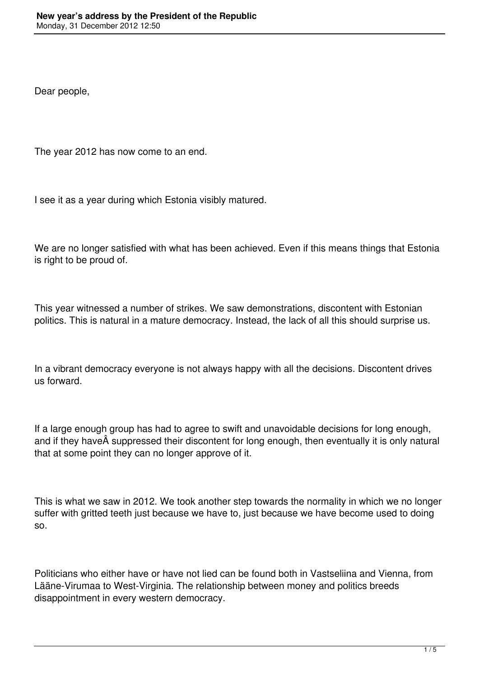Dear people,

The year 2012 has now come to an end.

I see it as a year during which Estonia visibly matured.

We are no longer satisfied with what has been achieved. Even if this means things that Estonia is right to be proud of.

This year witnessed a number of strikes. We saw demonstrations, discontent with Estonian politics. This is natural in a mature democracy. Instead, the lack of all this should surprise us.

In a vibrant democracy everyone is not always happy with all the decisions. Discontent drives us forward.

If a large enough group has had to agree to swift and unavoidable decisions for long enough, and if they have  $\hat{A}$  suppressed their discontent for long enough, then eventually it is only natural that at some point they can no longer approve of it.

This is what we saw in 2012. We took another step towards the normality in which we no longer suffer with gritted teeth just because we have to, just because we have become used to doing so.

Politicians who either have or have not lied can be found both in Vastseliina and Vienna, from Lääne-Virumaa to West-Virginia. The relationship between money and politics breeds disappointment in every western democracy.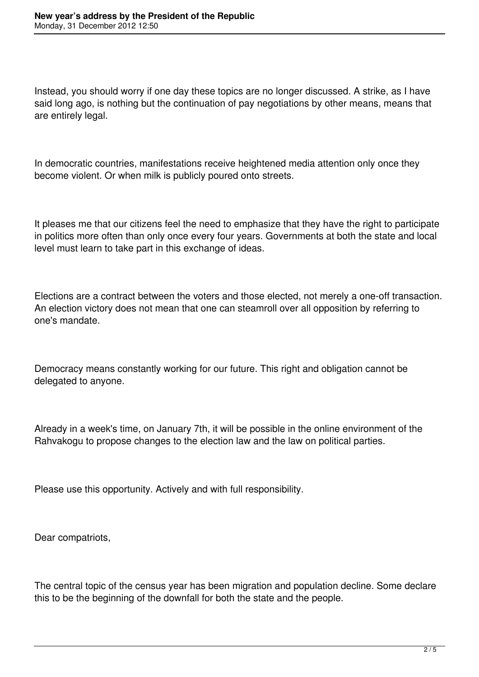Instead, you should worry if one day these topics are no longer discussed. A strike, as I have said long ago, is nothing but the continuation of pay negotiations by other means, means that are entirely legal.

In democratic countries, manifestations receive heightened media attention only once they become violent. Or when milk is publicly poured onto streets.

It pleases me that our citizens feel the need to emphasize that they have the right to participate in politics more often than only once every four years. Governments at both the state and local level must learn to take part in this exchange of ideas.

Elections are a contract between the voters and those elected, not merely a one-off transaction. An election victory does not mean that one can steamroll over all opposition by referring to one's mandate.

Democracy means constantly working for our future. This right and obligation cannot be delegated to anyone.

Already in a week's time, on January 7th, it will be possible in the online environment of the Rahvakogu to propose changes to the election law and the law on political parties.

Please use this opportunity. Actively and with full responsibility.

Dear compatriots,

The central topic of the census year has been migration and population decline. Some declare this to be the beginning of the downfall for both the state and the people.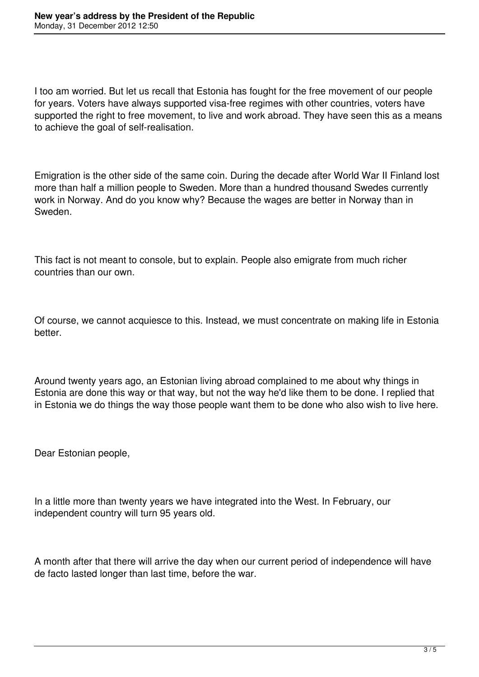I too am worried. But let us recall that Estonia has fought for the free movement of our people for years. Voters have always supported visa-free regimes with other countries, voters have supported the right to free movement, to live and work abroad. They have seen this as a means to achieve the goal of self-realisation.

Emigration is the other side of the same coin. During the decade after World War II Finland lost more than half a million people to Sweden. More than a hundred thousand Swedes currently work in Norway. And do you know why? Because the wages are better in Norway than in Sweden.

This fact is not meant to console, but to explain. People also emigrate from much richer countries than our own.

Of course, we cannot acquiesce to this. Instead, we must concentrate on making life in Estonia better.

Around twenty years ago, an Estonian living abroad complained to me about why things in Estonia are done this way or that way, but not the way he'd like them to be done. I replied that in Estonia we do things the way those people want them to be done who also wish to live here.

Dear Estonian people,

In a little more than twenty years we have integrated into the West. In February, our independent country will turn 95 years old.

A month after that there will arrive the day when our current period of independence will have de facto lasted longer than last time, before the war.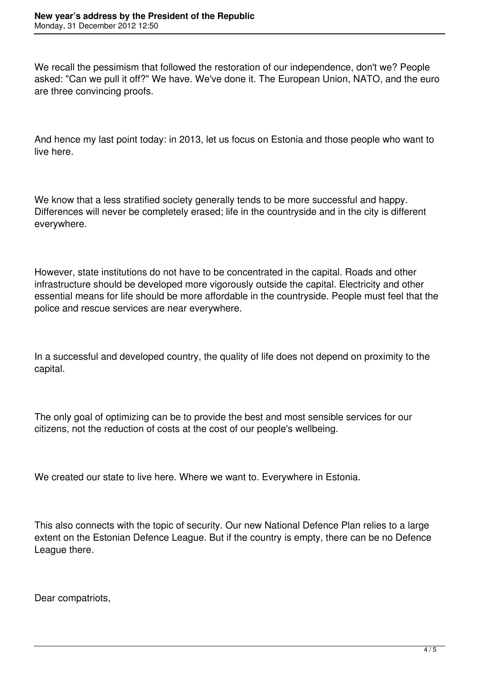We recall the pessimism that followed the restoration of our independence, don't we? People asked: "Can we pull it off?" We have. We've done it. The European Union, NATO, and the euro are three convincing proofs.

And hence my last point today: in 2013, let us focus on Estonia and those people who want to live here.

We know that a less stratified society generally tends to be more successful and happy. Differences will never be completely erased; life in the countryside and in the city is different everywhere.

However, state institutions do not have to be concentrated in the capital. Roads and other infrastructure should be developed more vigorously outside the capital. Electricity and other essential means for life should be more affordable in the countryside. People must feel that the police and rescue services are near everywhere.

In a successful and developed country, the quality of life does not depend on proximity to the capital.

The only goal of optimizing can be to provide the best and most sensible services for our citizens, not the reduction of costs at the cost of our people's wellbeing.

We created our state to live here. Where we want to. Everywhere in Estonia.

This also connects with the topic of security. Our new National Defence Plan relies to a large extent on the Estonian Defence League. But if the country is empty, there can be no Defence League there.

Dear compatriots,